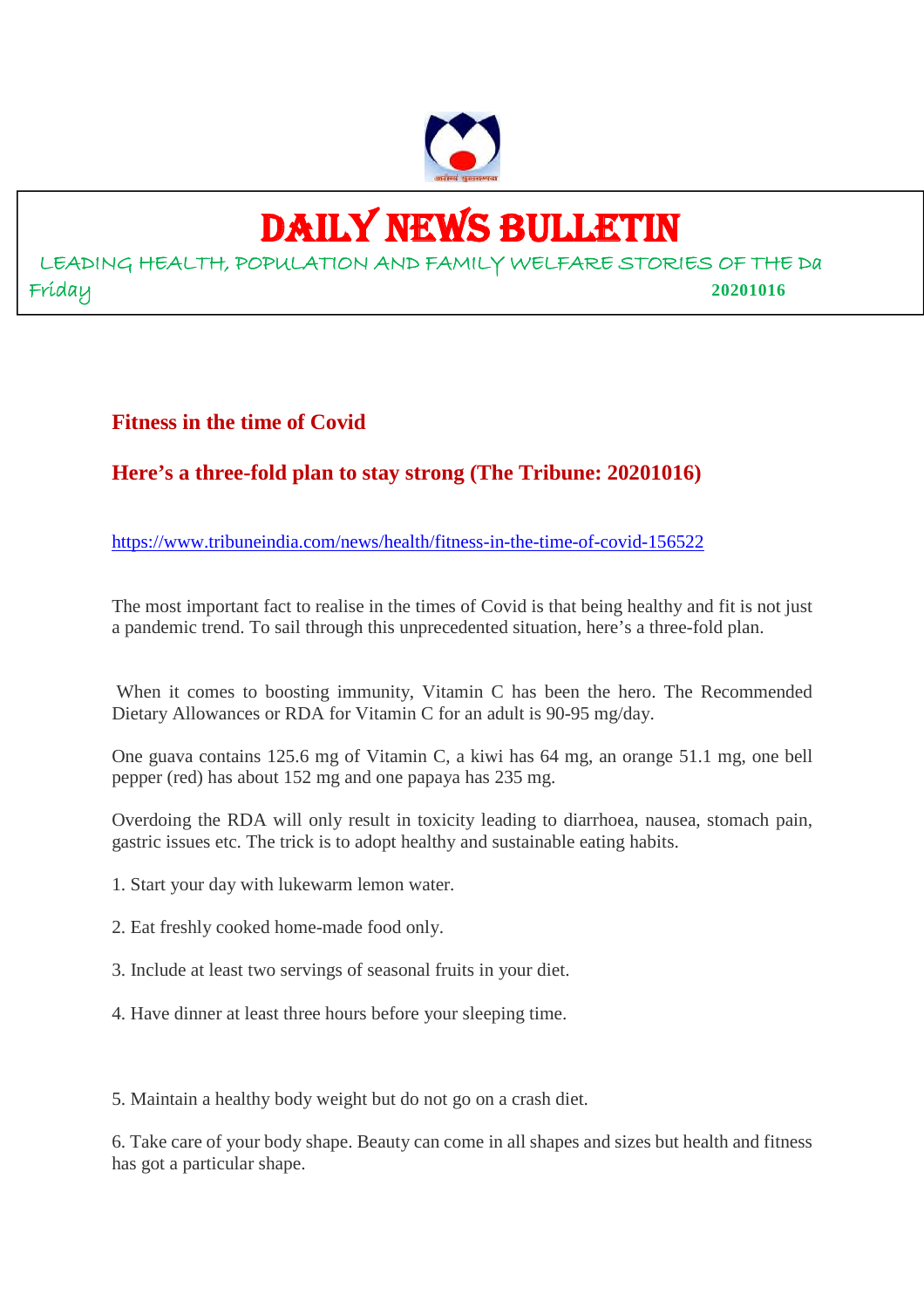

# DAILY NEWS BULLETIN

LEADING HEALTH, POPULATION AND FAMILY WELFARE STORIES OF THE Da Friday **20201016**

# **Fitness in the time of Covid**

# **Here's a three-fold plan to stay strong (The Tribune: 20201016)**

https://www.tribuneindia.com/news/health/fitness-in-the-time-of-covid-156522

The most important fact to realise in the times of Covid is that being healthy and fit is not just a pandemic trend. To sail through this unprecedented situation, here's a three-fold plan.

When it comes to boosting immunity, Vitamin C has been the hero. The Recommended Dietary Allowances or RDA for Vitamin C for an adult is 90-95 mg/day.

One guava contains 125.6 mg of Vitamin C, a kiwi has 64 mg, an orange 51.1 mg, one bell pepper (red) has about 152 mg and one papaya has 235 mg.

Overdoing the RDA will only result in toxicity leading to diarrhoea, nausea, stomach pain, gastric issues etc. The trick is to adopt healthy and sustainable eating habits.

- 1. Start your day with lukewarm lemon water.
- 2. Eat freshly cooked home-made food only.
- 3. Include at least two servings of seasonal fruits in your diet.
- 4. Have dinner at least three hours before your sleeping time.

5. Maintain a healthy body weight but do not go on a crash diet.

6. Take care of your body shape. Beauty can come in all shapes and sizes but health and fitness has got a particular shape.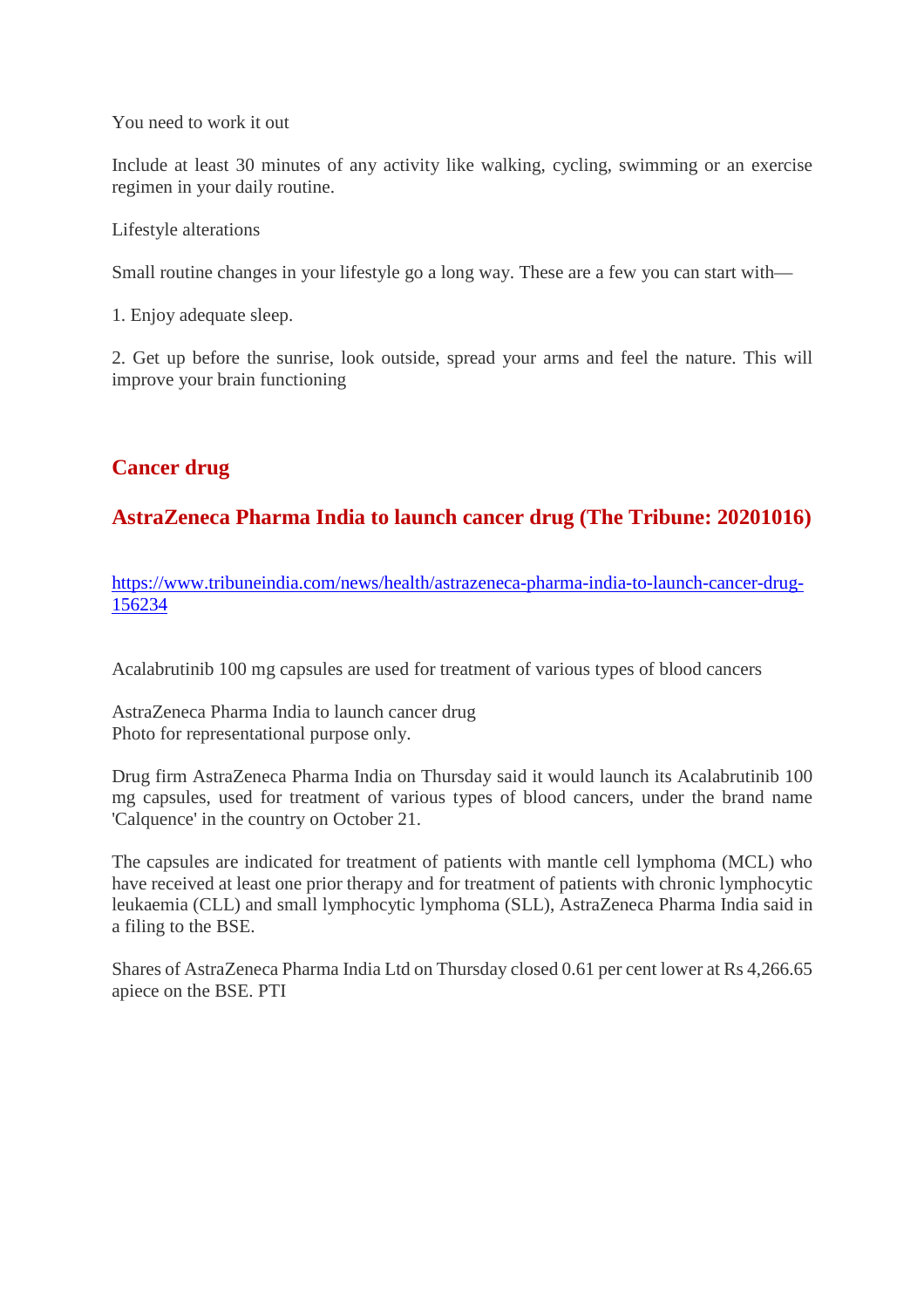You need to work it out

Include at least 30 minutes of any activity like walking, cycling, swimming or an exercise regimen in your daily routine.

Lifestyle alterations

Small routine changes in your lifestyle go a long way. These are a few you can start with—

1. Enjoy adequate sleep.

2. Get up before the sunrise, look outside, spread your arms and feel the nature. This will improve your brain functioning

# **Cancer drug**

# **AstraZeneca Pharma India to launch cancer drug (The Tribune: 20201016)**

https://www.tribuneindia.com/news/health/astrazeneca-pharma-india-to-launch-cancer-drug-156234

Acalabrutinib 100 mg capsules are used for treatment of various types of blood cancers

AstraZeneca Pharma India to launch cancer drug Photo for representational purpose only.

Drug firm AstraZeneca Pharma India on Thursday said it would launch its Acalabrutinib 100 mg capsules, used for treatment of various types of blood cancers, under the brand name 'Calquence' in the country on October 21.

The capsules are indicated for treatment of patients with mantle cell lymphoma (MCL) who have received at least one prior therapy and for treatment of patients with chronic lymphocytic leukaemia (CLL) and small lymphocytic lymphoma (SLL), AstraZeneca Pharma India said in a filing to the BSE.

Shares of AstraZeneca Pharma India Ltd on Thursday closed 0.61 per cent lower at Rs 4,266.65 apiece on the BSE. PTI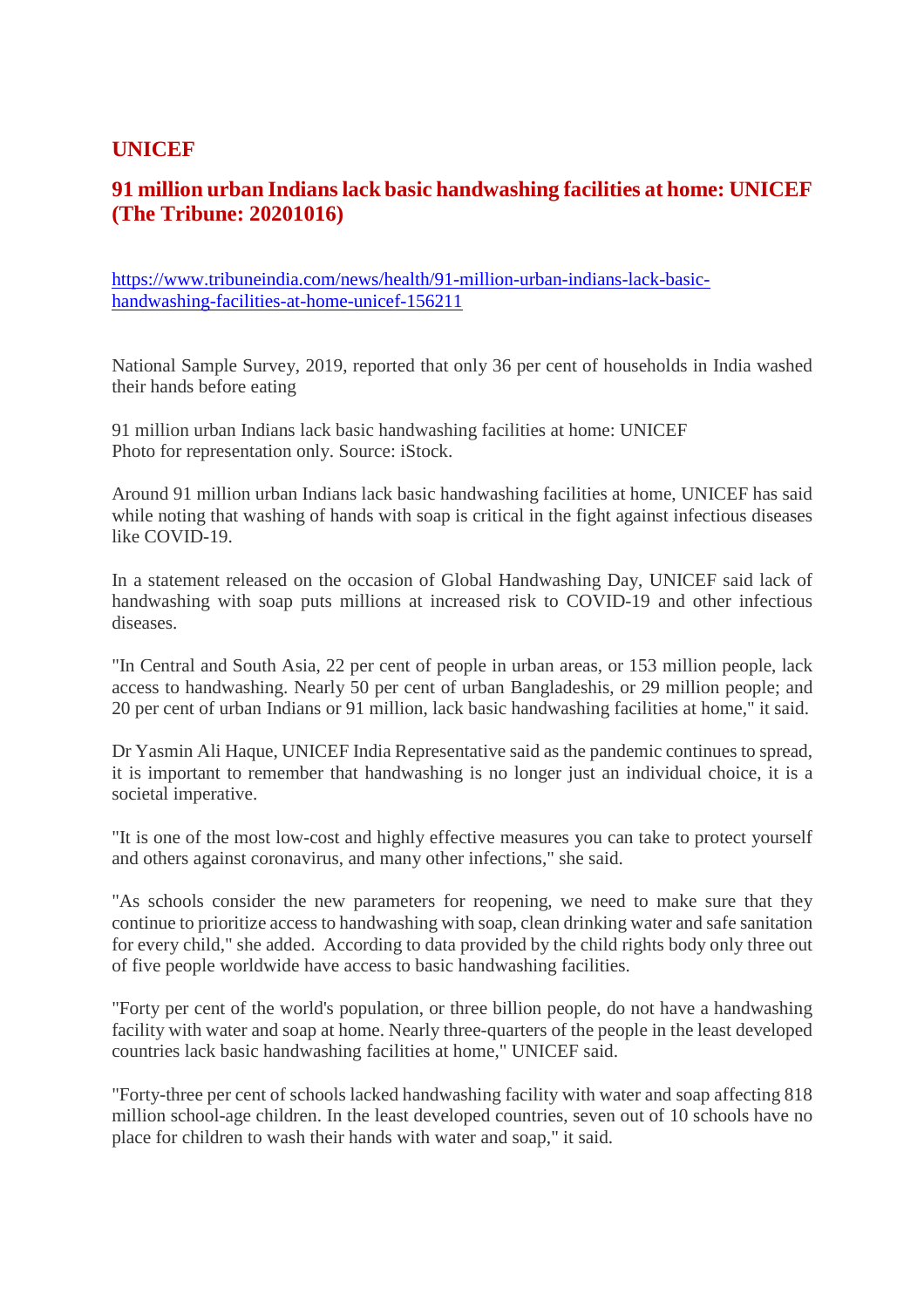# **UNICEF**

# **91 million urban Indians lack basic handwashing facilities at home: UNICEF (The Tribune: 20201016)**

https://www.tribuneindia.com/news/health/91-million-urban-indians-lack-basichandwashing-facilities-at-home-unicef-156211

National Sample Survey, 2019, reported that only 36 per cent of households in India washed their hands before eating

91 million urban Indians lack basic handwashing facilities at home: UNICEF Photo for representation only. Source: iStock.

Around 91 million urban Indians lack basic handwashing facilities at home, UNICEF has said while noting that washing of hands with soap is critical in the fight against infectious diseases like COVID-19.

In a statement released on the occasion of Global Handwashing Day, UNICEF said lack of handwashing with soap puts millions at increased risk to COVID-19 and other infectious diseases.

"In Central and South Asia, 22 per cent of people in urban areas, or 153 million people, lack access to handwashing. Nearly 50 per cent of urban Bangladeshis, or 29 million people; and 20 per cent of urban Indians or 91 million, lack basic handwashing facilities at home," it said.

Dr Yasmin Ali Haque, UNICEF India Representative said as the pandemic continues to spread, it is important to remember that handwashing is no longer just an individual choice, it is a societal imperative.

"It is one of the most low-cost and highly effective measures you can take to protect yourself and others against coronavirus, and many other infections," she said.

"As schools consider the new parameters for reopening, we need to make sure that they continue to prioritize access to handwashing with soap, clean drinking water and safe sanitation for every child," she added. According to data provided by the child rights body only three out of five people worldwide have access to basic handwashing facilities.

"Forty per cent of the world's population, or three billion people, do not have a handwashing facility with water and soap at home. Nearly three-quarters of the people in the least developed countries lack basic handwashing facilities at home," UNICEF said.

"Forty-three per cent of schools lacked handwashing facility with water and soap affecting 818 million school-age children. In the least developed countries, seven out of 10 schools have no place for children to wash their hands with water and soap," it said.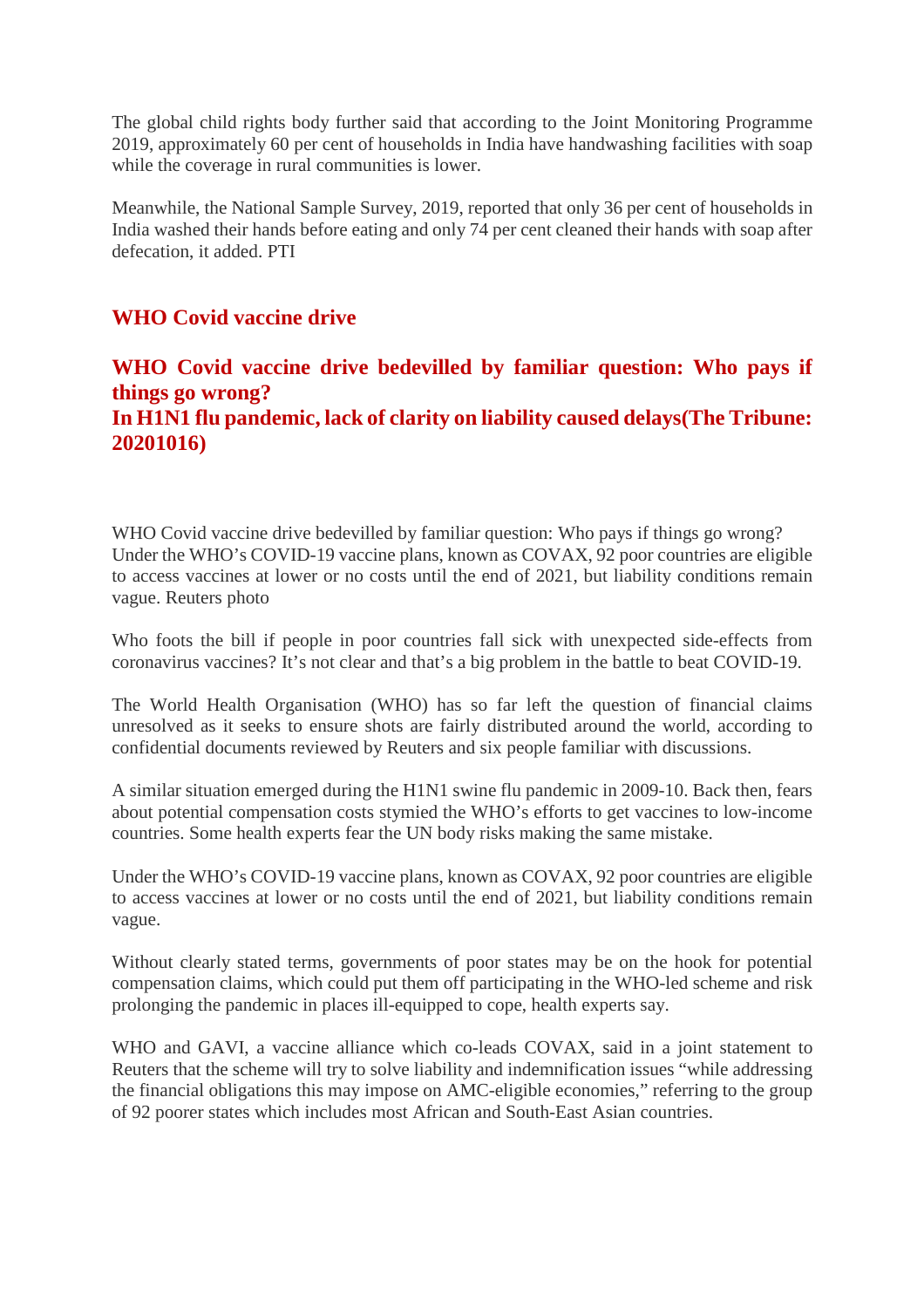The global child rights body further said that according to the Joint Monitoring Programme 2019, approximately 60 per cent of households in India have handwashing facilities with soap while the coverage in rural communities is lower.

Meanwhile, the National Sample Survey, 2019, reported that only 36 per cent of households in India washed their hands before eating and only 74 per cent cleaned their hands with soap after defecation, it added. PTI

# **WHO Covid vaccine drive**

# **WHO Covid vaccine drive bedevilled by familiar question: Who pays if things go wrong? In H1N1 flu pandemic, lack of clarity on liability caused delays(The Tribune: 20201016)**

WHO Covid vaccine drive bedevilled by familiar question: Who pays if things go wrong? Under the WHO's COVID-19 vaccine plans, known as COVAX, 92 poor countries are eligible to access vaccines at lower or no costs until the end of 2021, but liability conditions remain vague. Reuters photo

Who foots the bill if people in poor countries fall sick with unexpected side-effects from coronavirus vaccines? It's not clear and that's a big problem in the battle to beat COVID-19.

The World Health Organisation (WHO) has so far left the question of financial claims unresolved as it seeks to ensure shots are fairly distributed around the world, according to confidential documents reviewed by Reuters and six people familiar with discussions.

A similar situation emerged during the H1N1 swine flu pandemic in 2009-10. Back then, fears about potential compensation costs stymied the WHO's efforts to get vaccines to low-income countries. Some health experts fear the UN body risks making the same mistake.

Under the WHO's COVID-19 vaccine plans, known as COVAX, 92 poor countries are eligible to access vaccines at lower or no costs until the end of 2021, but liability conditions remain vague.

Without clearly stated terms, governments of poor states may be on the hook for potential compensation claims, which could put them off participating in the WHO-led scheme and risk prolonging the pandemic in places ill-equipped to cope, health experts say.

WHO and GAVI, a vaccine alliance which co-leads COVAX, said in a joint statement to Reuters that the scheme will try to solve liability and indemnification issues "while addressing the financial obligations this may impose on AMC-eligible economies," referring to the group of 92 poorer states which includes most African and South-East Asian countries.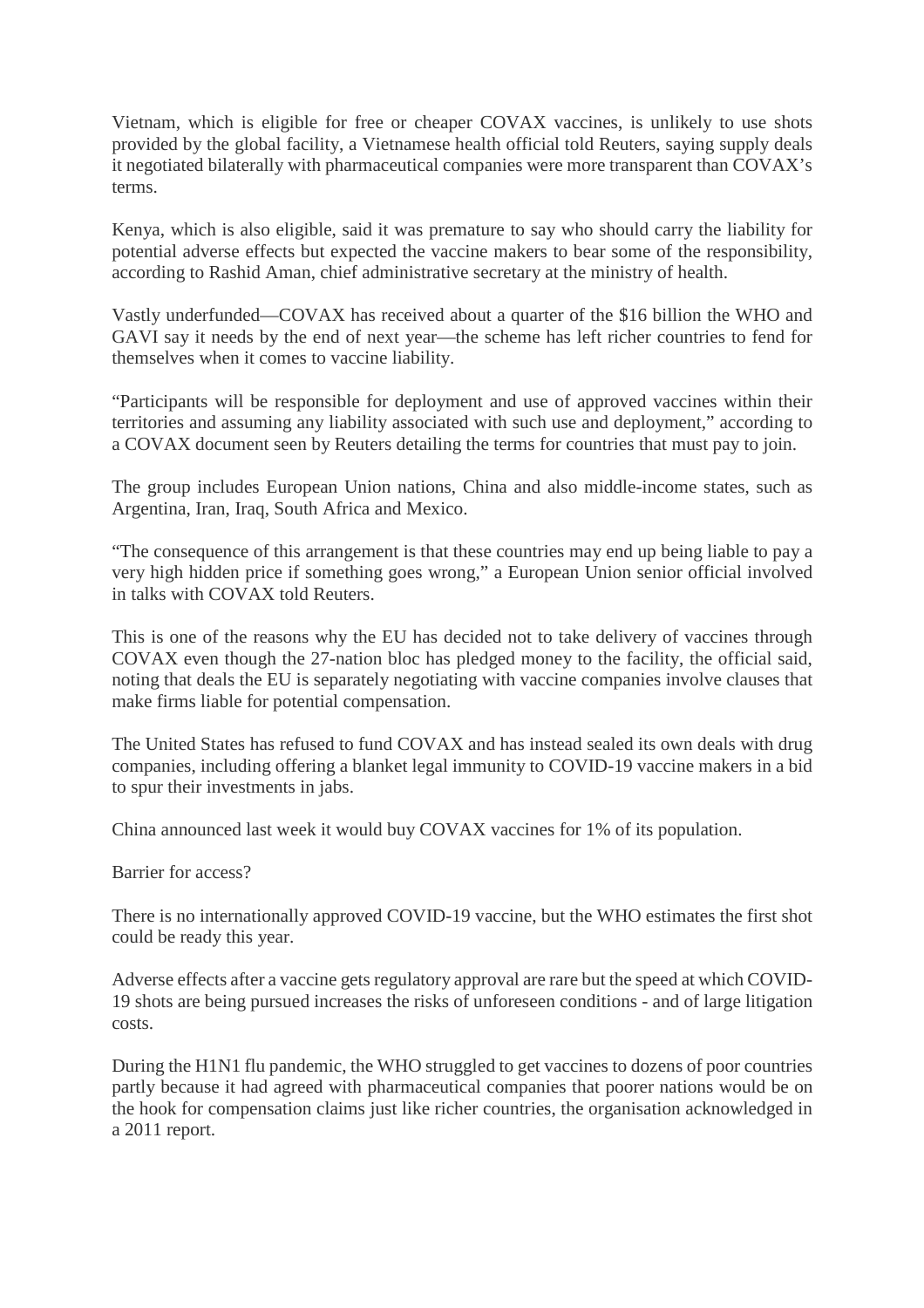Vietnam, which is eligible for free or cheaper COVAX vaccines, is unlikely to use shots provided by the global facility, a Vietnamese health official told Reuters, saying supply deals it negotiated bilaterally with pharmaceutical companies were more transparent than COVAX's terms.

Kenya, which is also eligible, said it was premature to say who should carry the liability for potential adverse effects but expected the vaccine makers to bear some of the responsibility, according to Rashid Aman, chief administrative secretary at the ministry of health.

Vastly underfunded—COVAX has received about a quarter of the \$16 billion the WHO and GAVI say it needs by the end of next year—the scheme has left richer countries to fend for themselves when it comes to vaccine liability.

"Participants will be responsible for deployment and use of approved vaccines within their territories and assuming any liability associated with such use and deployment," according to a COVAX document seen by Reuters detailing the terms for countries that must pay to join.

The group includes European Union nations, China and also middle-income states, such as Argentina, Iran, Iraq, South Africa and Mexico.

"The consequence of this arrangement is that these countries may end up being liable to pay a very high hidden price if something goes wrong," a European Union senior official involved in talks with COVAX told Reuters.

This is one of the reasons why the EU has decided not to take delivery of vaccines through COVAX even though the 27-nation bloc has pledged money to the facility, the official said, noting that deals the EU is separately negotiating with vaccine companies involve clauses that make firms liable for potential compensation.

The United States has refused to fund COVAX and has instead sealed its own deals with drug companies, including offering a blanket legal immunity to COVID-19 vaccine makers in a bid to spur their investments in jabs.

China announced last week it would buy COVAX vaccines for 1% of its population.

Barrier for access?

There is no internationally approved COVID-19 vaccine, but the WHO estimates the first shot could be ready this year.

Adverse effects after a vaccine gets regulatory approval are rare but the speed at which COVID-19 shots are being pursued increases the risks of unforeseen conditions - and of large litigation costs.

During the H1N1 flu pandemic, the WHO struggled to get vaccines to dozens of poor countries partly because it had agreed with pharmaceutical companies that poorer nations would be on the hook for compensation claims just like richer countries, the organisation acknowledged in a 2011 report.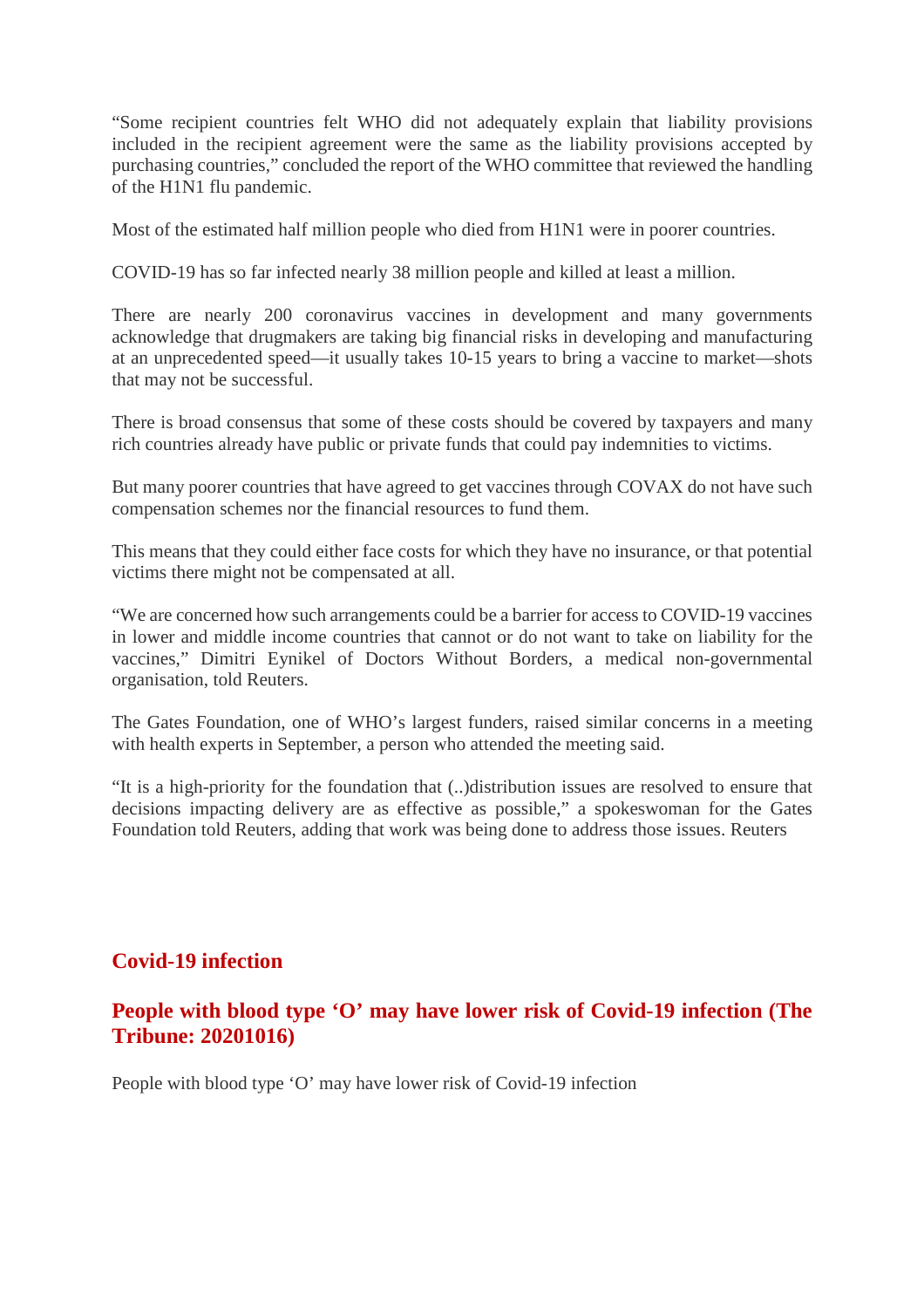"Some recipient countries felt WHO did not adequately explain that liability provisions included in the recipient agreement were the same as the liability provisions accepted by purchasing countries," concluded the report of the WHO committee that reviewed the handling of the H1N1 flu pandemic.

Most of the estimated half million people who died from H1N1 were in poorer countries.

COVID-19 has so far infected nearly 38 million people and killed at least a million.

There are nearly 200 coronavirus vaccines in development and many governments acknowledge that drugmakers are taking big financial risks in developing and manufacturing at an unprecedented speed—it usually takes 10-15 years to bring a vaccine to market—shots that may not be successful.

There is broad consensus that some of these costs should be covered by taxpayers and many rich countries already have public or private funds that could pay indemnities to victims.

But many poorer countries that have agreed to get vaccines through COVAX do not have such compensation schemes nor the financial resources to fund them.

This means that they could either face costs for which they have no insurance, or that potential victims there might not be compensated at all.

"We are concerned how such arrangements could be a barrier for access to COVID-19 vaccines in lower and middle income countries that cannot or do not want to take on liability for the vaccines," Dimitri Eynikel of Doctors Without Borders, a medical non-governmental organisation, told Reuters.

The Gates Foundation, one of WHO's largest funders, raised similar concerns in a meeting with health experts in September, a person who attended the meeting said.

"It is a high-priority for the foundation that (..)distribution issues are resolved to ensure that decisions impacting delivery are as effective as possible," a spokeswoman for the Gates Foundation told Reuters, adding that work was being done to address those issues. Reuters

# **Covid-19 infection**

# **People with blood type 'O' may have lower risk of Covid-19 infection (The Tribune: 20201016)**

People with blood type 'O' may have lower risk of Covid-19 infection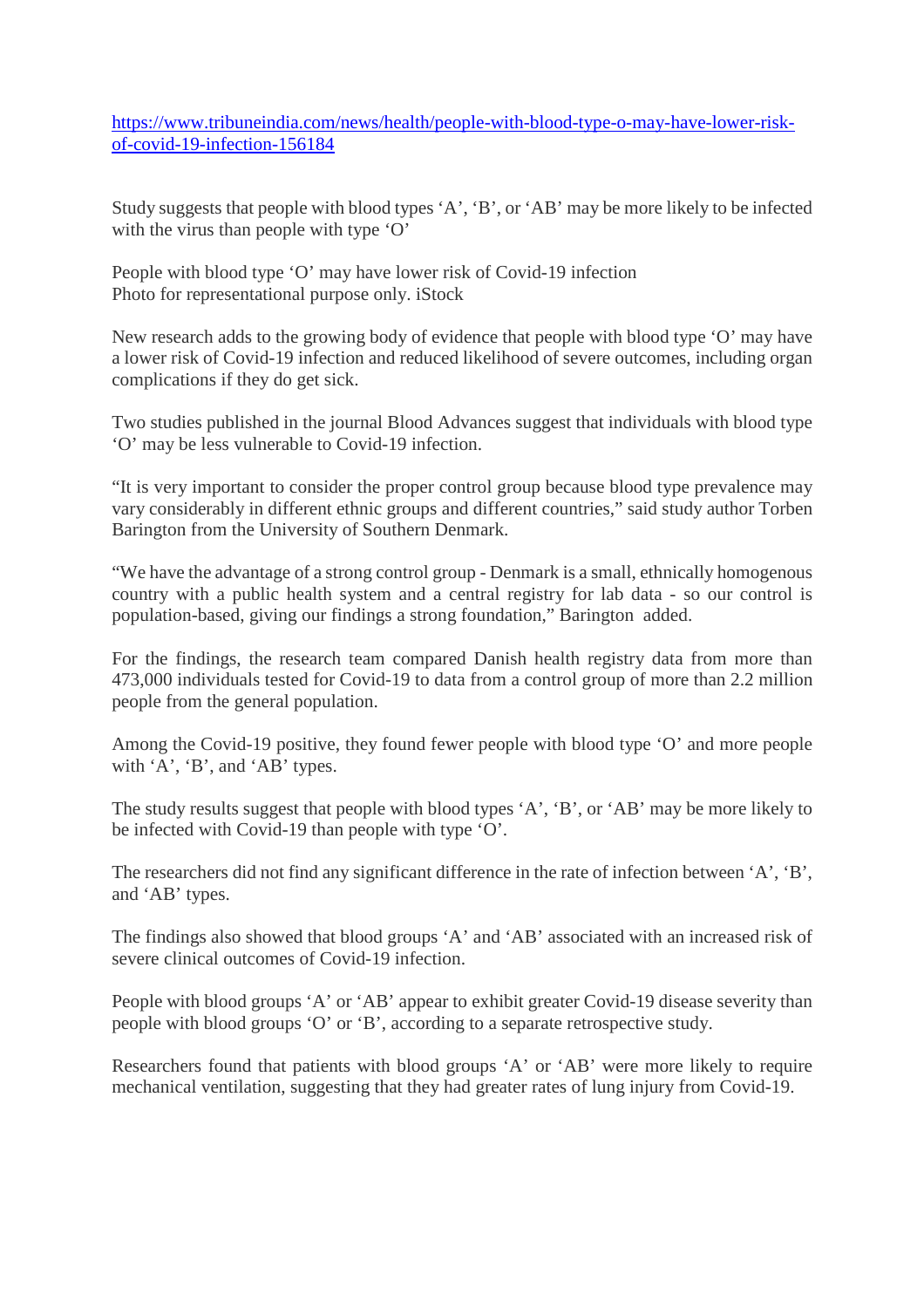https://www.tribuneindia.com/news/health/people-with-blood-type-o-may-have-lower-riskof-covid-19-infection-156184

Study suggests that people with blood types 'A', 'B', or 'AB' may be more likely to be infected with the virus than people with type 'O'

People with blood type 'O' may have lower risk of Covid-19 infection Photo for representational purpose only. iStock

New research adds to the growing body of evidence that people with blood type 'O' may have a lower risk of Covid-19 infection and reduced likelihood of severe outcomes, including organ complications if they do get sick.

Two studies published in the journal Blood Advances suggest that individuals with blood type 'O' may be less vulnerable to Covid-19 infection.

"It is very important to consider the proper control group because blood type prevalence may vary considerably in different ethnic groups and different countries," said study author Torben Barington from the University of Southern Denmark.

"We have the advantage of a strong control group - Denmark is a small, ethnically homogenous country with a public health system and a central registry for lab data - so our control is population-based, giving our findings a strong foundation," Barington added.

For the findings, the research team compared Danish health registry data from more than 473,000 individuals tested for Covid-19 to data from a control group of more than 2.2 million people from the general population.

Among the Covid-19 positive, they found fewer people with blood type 'O' and more people with 'A', 'B', and 'AB' types.

The study results suggest that people with blood types 'A', 'B', or 'AB' may be more likely to be infected with Covid-19 than people with type 'O'.

The researchers did not find any significant difference in the rate of infection between 'A', 'B', and 'AB' types.

The findings also showed that blood groups 'A' and 'AB' associated with an increased risk of severe clinical outcomes of Covid-19 infection.

People with blood groups 'A' or 'AB' appear to exhibit greater Covid-19 disease severity than people with blood groups 'O' or 'B', according to a separate retrospective study.

Researchers found that patients with blood groups 'A' or 'AB' were more likely to require mechanical ventilation, suggesting that they had greater rates of lung injury from Covid-19.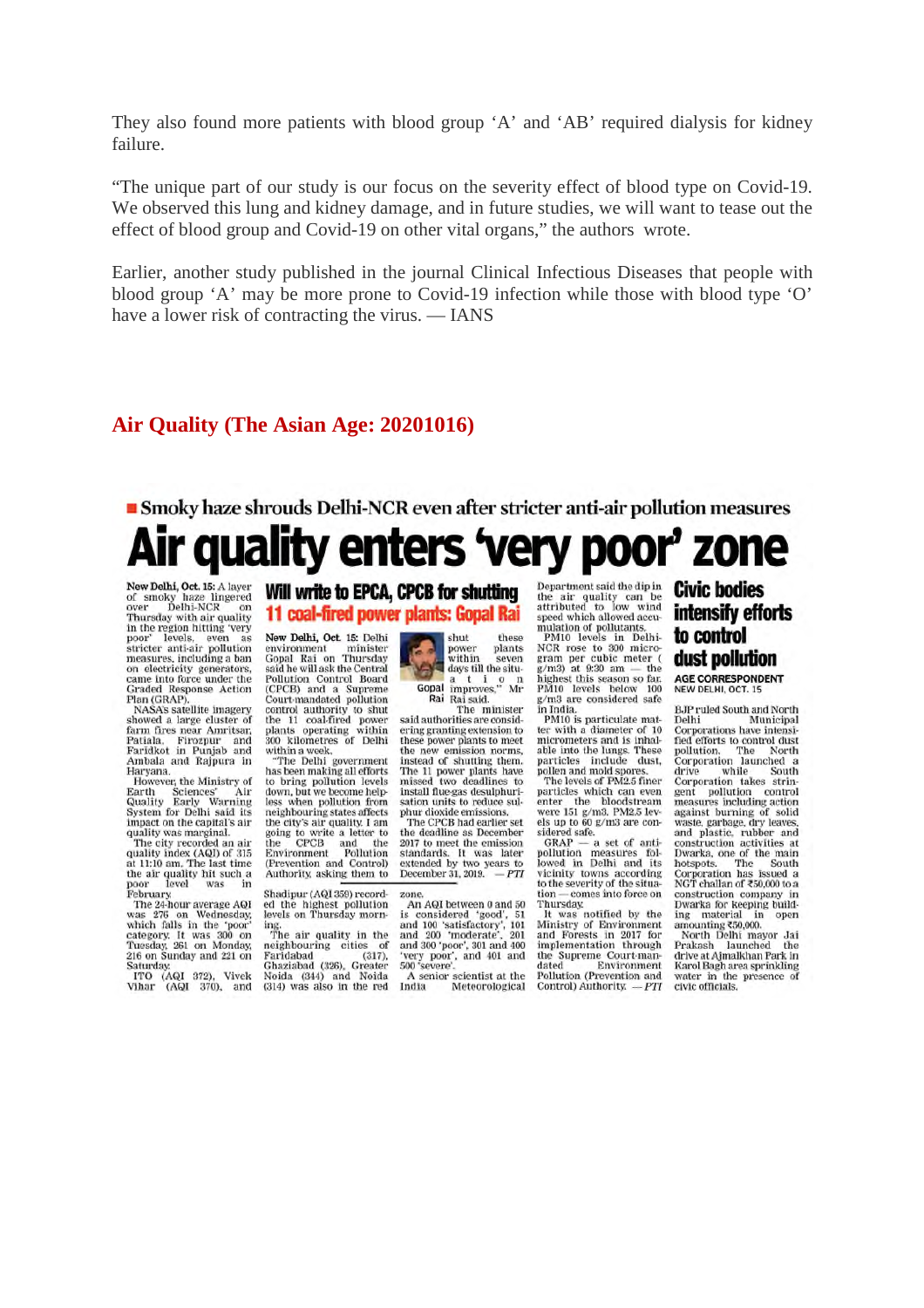They also found more patients with blood group 'A' and 'AB' required dialysis for kidney failure.

"The unique part of our study is our focus on the severity effect of blood type on Covid-19. We observed this lung and kidney damage, and in future studies, we will want to tease out the effect of blood group and Covid-19 on other vital organs," the authors wrote.

Earlier, another study published in the journal Clinical Infectious Diseases that people with blood group 'A' may be more prone to Covid-19 infection while those with blood type 'O' have a lower risk of contracting the virus. — IANS

#### **Air Quality (The Asian Age: 20201016)**

# Smoky haze shrouds Delhi-NCR even after stricter anti-air pollution measures Air quality enters 'very poor' zone

New Delhi, Oct. 15: A layer of smoky haze lingered<br>over Delhi-NCR on Thursday with air quality<br>in the region hitting 'very poor' levels, even as<br>stricter anti-air pollution<br>measures, including a ban on electricity generators, came into force under the Graded Response Action<br>Plan (GRAP).

Plan (GRAP).<br>NASA's satellite imagery<br>Showed a large cluster of<br>farm fires near Amritsar,<br>Patilala, Firozpur and<br>Faridkot in Punjab and<br>Ambala and Rajpura in Haryana.

However, the Ministry of Earth Earth Sciences' Air<br>Quality Early Warning<br>System for Delhi said its impact on the capital's air quality was marginal.<br>The city recorded an air

rie expression and an and<br>at 11:10 am. The last time<br>the air quality hit such a<br>poor level was in

the air quality hit such a<br>poor level was in<br>February.<br>The 24-hour average AQI<br>was 276 on Wednesday,<br>which falls in the 'poor'<br>category. It was 300 on<br>Truesday, 261 on Monday,<br>216 on Sunday and 221 on<br>216 on Sunday and 221

Saturday<br>
ITO (AQI 372), Vivek<br>
Vihar (AQI 370), and

#### Will write to EPCA, CPCB for shutting 11 coal-fired power plants: Gopal Rai

New Delhi, Oct. 15: Delhi environment minister<br>Gopal Rai on Thursday said he will ask the Central Pollution Control Board<br>(CPCB) and a Supreme<br>Court-mandated pollution control authority to shut<br>the 11 coal-fired power plants operating within 300 kilometres of Delhi

within a week,<br>"The Delhi government has been making all efforts<br>to bring pollution levels down, but we become help-<br>less when pollution from<br>neighbouring states affects neighbouring states aneces<br>the city's air quality. I am<br>going to write a letter to<br>the CPCB and the<br>Environment Pollution<br>(Prevention and Control)<br>Authority, asking them to

Shadipur (AQI 359) recorded the highest pollution levels on Thursday morn-

revers on Thursday morn-<br>ing.<br>The air quality in the<br>neighbouring cities of rie an quanty in the<br>neighbouring cities of<br>Faridabad (326), Greater Noida (344) and Noida<br>(314) was also in the red

shut these power plants<br>within seven<br>days till the situ-Gopal improves," Mr Rai Rai said.

Kai Kai said.<br>The minister<br>said authorities are considering granting extension to these power plants to meet<br>the new emission norms, instead of shutting them. The 11 power plants have<br>missed two deadlines to install flue gas desulphuri-<br>sation units to reduce sul-<br>phur dioxide emissions.

The CPCR had earlier set the deadline as December<br>2017 to meet the emission standards. It was later<br>extended by two years to<br>December 31, 2019.  $-PTI$ 

An AQI between 0 and 50 is considered 'good', 51<br>and 100 'satisfactory', 101<br>and 200 'moderate', 201 and 300 'poor', 301 and 400<br>'very poor', and 401 and<br>500 'severe'.

A senior scientist at the<br>ndia Meteorological India

Department said the dip in the air quality can be<br>attributed to low wind speed which allowed accuspeed which allowed accumulation of pollutants.<br>
PM10 levels in Delhi-<br>
NCR rose to 300 micro-<br>
gram per cubic meter (<br>
g/m3) at 9:30 am — the

highest this season so far.<br>PM10 levels below 100<br>g/m3 are considered safe in India

PM10 is particulate mat-<br>ter with a diameter of 10 micrometers and is inhal-<br>able into the lungs. These particles include dust,<br>pollen and mold spores.<br>The levels of PM2.5 finer

particles which can even<br>enter the bloodstream

particles which can even<br>enter the bloodstream<br>were 151 g/m3. PM2.5 lev-<br>els up to 60 g/m3 are con-<br>sidered safe.<br> $GRAP - a$  set of anti-<br>pollution measures fol-<br>lowed in Delhi and its<br>vicinity towns according<br>to the severity comes into force on tion Thursday

Thursday,<br>It was notified by the<br>Ministry of Environment<br>and Forests in 2017 for<br>implementation through<br>the Sunreme Court.man. the Supreme Court-man-<br>dated Environment 

#### **Civic bodies** intensify efforts to control dust pollution

AGE CORRESPONDENT

**BJP** ruled South and North Delhi Municipal Delhi Municipal<br>Corporations have intensi-<br>fied efforts to control dust<br>pollution. The North<br>Corporation launched a drive while South<br>Corporation takes strin-Corporation takes stringent<br>gent pollution control<br>measures including action<br>measures including action<br>against burning of solid<br>waste, garbage, dry leaves,<br>construction activities at<br>box-poration has issued a<br>NGT chalan o ing material in<br>amounting ₹50,000.  $\overline{m}$ open

North Delhi mayor Jai Prakash launched the<br>drive at Ajmalkhan Park in Karol Bagh area sprinkling water in the presence of civic officials.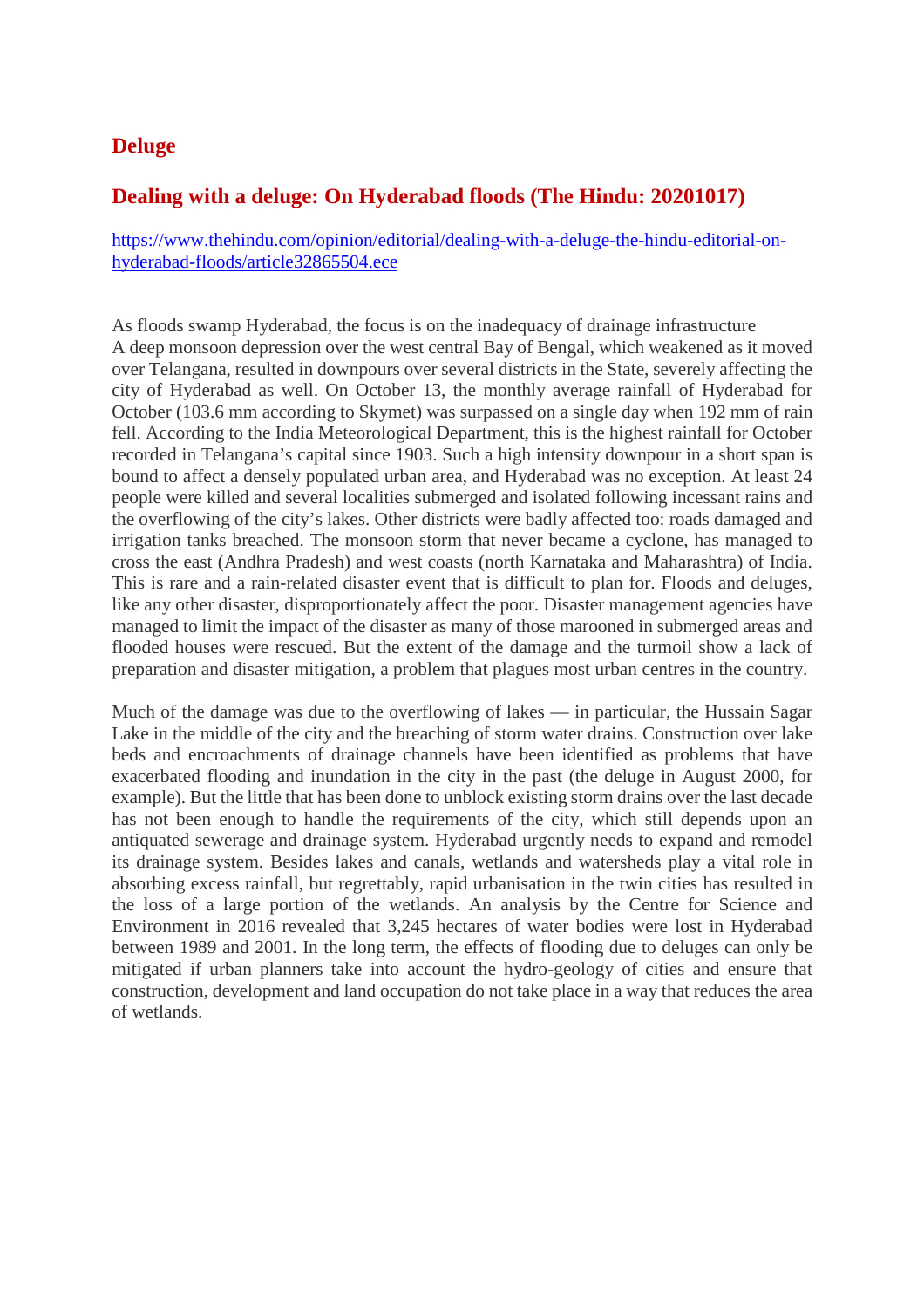# **Deluge**

# **Dealing with a deluge: On Hyderabad floods (The Hindu: 20201017)**

https://www.thehindu.com/opinion/editorial/dealing-with-a-deluge-the-hindu-editorial-onhyderabad-floods/article32865504.ece

As floods swamp Hyderabad, the focus is on the inadequacy of drainage infrastructure A deep monsoon depression over the west central Bay of Bengal, which weakened as it moved over Telangana, resulted in downpours over several districts in the State, severely affecting the city of Hyderabad as well. On October 13, the monthly average rainfall of Hyderabad for October (103.6 mm according to Skymet) was surpassed on a single day when 192 mm of rain fell. According to the India Meteorological Department, this is the highest rainfall for October recorded in Telangana's capital since 1903. Such a high intensity downpour in a short span is bound to affect a densely populated urban area, and Hyderabad was no exception. At least 24 people were killed and several localities submerged and isolated following incessant rains and the overflowing of the city's lakes. Other districts were badly affected too: roads damaged and irrigation tanks breached. The monsoon storm that never became a cyclone, has managed to cross the east (Andhra Pradesh) and west coasts (north Karnataka and Maharashtra) of India. This is rare and a rain-related disaster event that is difficult to plan for. Floods and deluges, like any other disaster, disproportionately affect the poor. Disaster management agencies have managed to limit the impact of the disaster as many of those marooned in submerged areas and flooded houses were rescued. But the extent of the damage and the turmoil show a lack of preparation and disaster mitigation, a problem that plagues most urban centres in the country.

Much of the damage was due to the overflowing of lakes — in particular, the Hussain Sagar Lake in the middle of the city and the breaching of storm water drains. Construction over lake beds and encroachments of drainage channels have been identified as problems that have exacerbated flooding and inundation in the city in the past (the deluge in August 2000, for example). But the little that has been done to unblock existing storm drains over the last decade has not been enough to handle the requirements of the city, which still depends upon an antiquated sewerage and drainage system. Hyderabad urgently needs to expand and remodel its drainage system. Besides lakes and canals, wetlands and watersheds play a vital role in absorbing excess rainfall, but regrettably, rapid urbanisation in the twin cities has resulted in the loss of a large portion of the wetlands. An analysis by the Centre for Science and Environment in 2016 revealed that 3,245 hectares of water bodies were lost in Hyderabad between 1989 and 2001. In the long term, the effects of flooding due to deluges can only be mitigated if urban planners take into account the hydro-geology of cities and ensure that construction, development and land occupation do not take place in a way that reduces the area of wetlands.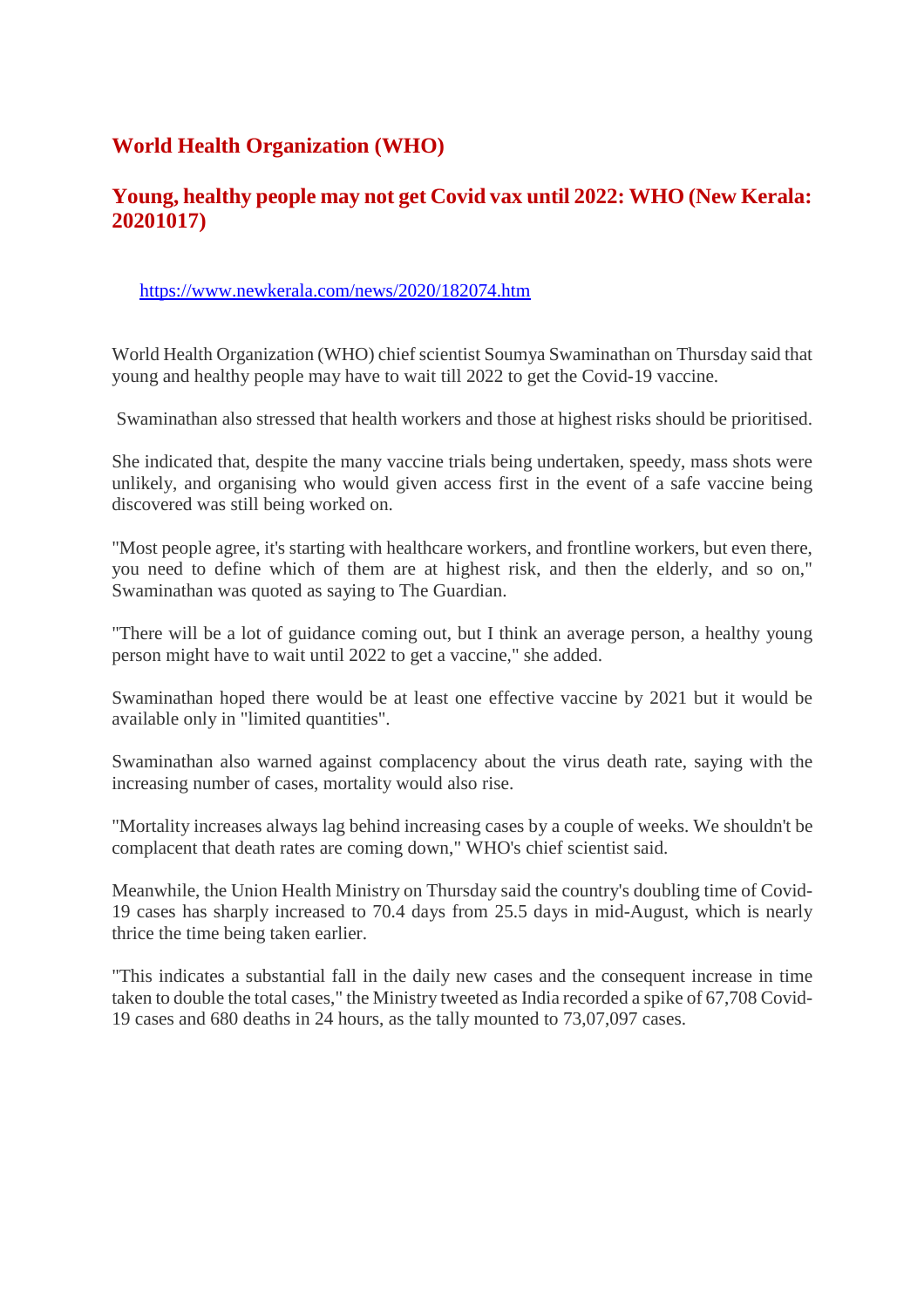# **World Health Organization (WHO)**

# **Young, healthy people may not get Covid vax until 2022: WHO (New Kerala: 20201017)**

#### https://www.newkerala.com/news/2020/182074.htm

World Health Organization (WHO) chief scientist Soumya Swaminathan on Thursday said that young and healthy people may have to wait till 2022 to get the Covid-19 vaccine.

Swaminathan also stressed that health workers and those at highest risks should be prioritised.

She indicated that, despite the many vaccine trials being undertaken, speedy, mass shots were unlikely, and organising who would given access first in the event of a safe vaccine being discovered was still being worked on.

"Most people agree, it's starting with healthcare workers, and frontline workers, but even there, you need to define which of them are at highest risk, and then the elderly, and so on," Swaminathan was quoted as saying to The Guardian.

"There will be a lot of guidance coming out, but I think an average person, a healthy young person might have to wait until 2022 to get a vaccine," she added.

Swaminathan hoped there would be at least one effective vaccine by 2021 but it would be available only in "limited quantities".

Swaminathan also warned against complacency about the virus death rate, saying with the increasing number of cases, mortality would also rise.

"Mortality increases always lag behind increasing cases by a couple of weeks. We shouldn't be complacent that death rates are coming down," WHO's chief scientist said.

Meanwhile, the Union Health Ministry on Thursday said the country's doubling time of Covid-19 cases has sharply increased to 70.4 days from 25.5 days in mid-August, which is nearly thrice the time being taken earlier.

"This indicates a substantial fall in the daily new cases and the consequent increase in time taken to double the total cases," the Ministry tweeted as India recorded a spike of 67,708 Covid-19 cases and 680 deaths in 24 hours, as the tally mounted to 73,07,097 cases.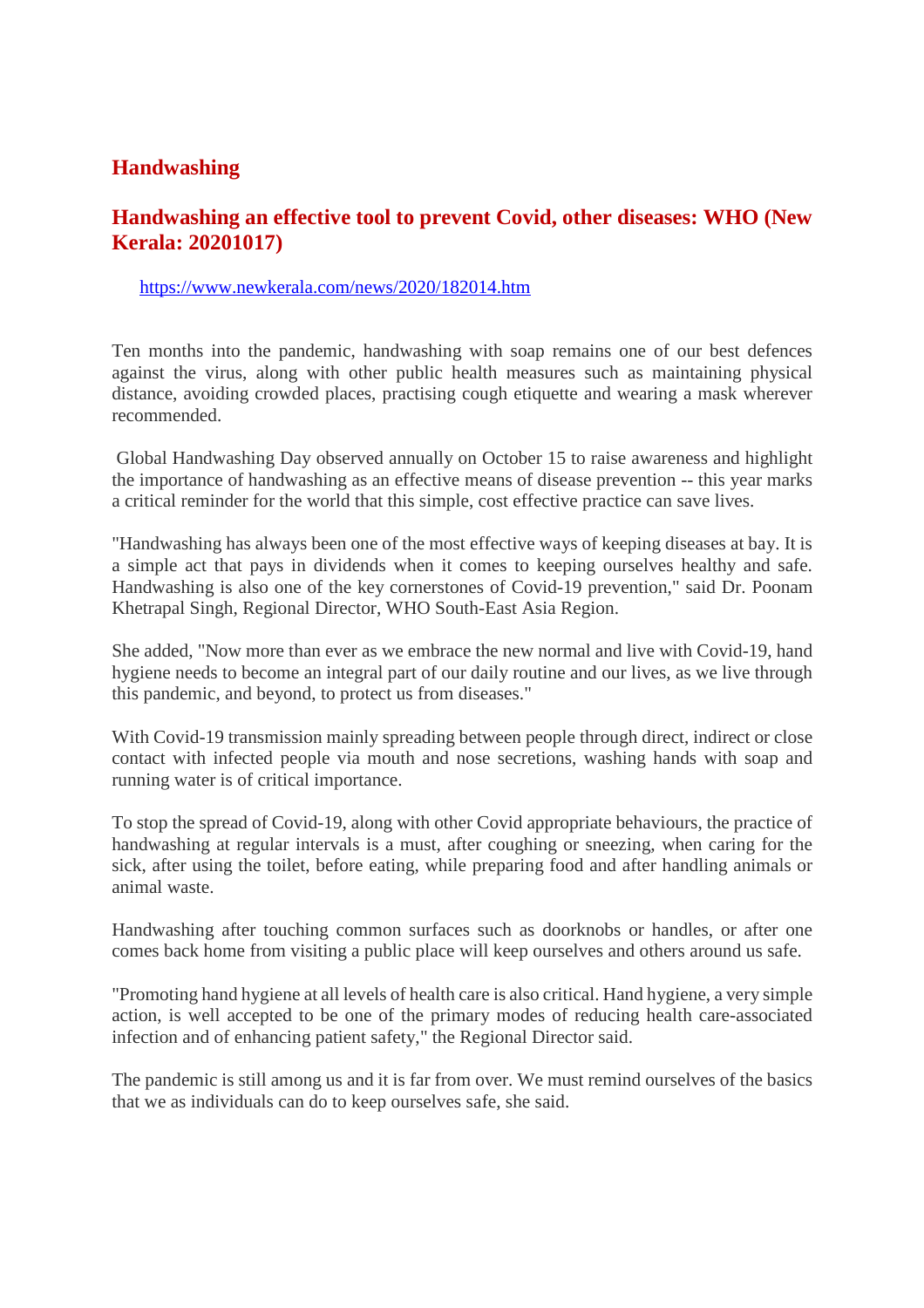# **Handwashing**

# **Handwashing an effective tool to prevent Covid, other diseases: WHO (New Kerala: 20201017)**

https://www.newkerala.com/news/2020/182014.htm

Ten months into the pandemic, handwashing with soap remains one of our best defences against the virus, along with other public health measures such as maintaining physical distance, avoiding crowded places, practising cough etiquette and wearing a mask wherever recommended.

Global Handwashing Day observed annually on October 15 to raise awareness and highlight the importance of handwashing as an effective means of disease prevention -- this year marks a critical reminder for the world that this simple, cost effective practice can save lives.

"Handwashing has always been one of the most effective ways of keeping diseases at bay. It is a simple act that pays in dividends when it comes to keeping ourselves healthy and safe. Handwashing is also one of the key cornerstones of Covid-19 prevention," said Dr. Poonam Khetrapal Singh, Regional Director, WHO South-East Asia Region.

She added, "Now more than ever as we embrace the new normal and live with Covid-19, hand hygiene needs to become an integral part of our daily routine and our lives, as we live through this pandemic, and beyond, to protect us from diseases."

With Covid-19 transmission mainly spreading between people through direct, indirect or close contact with infected people via mouth and nose secretions, washing hands with soap and running water is of critical importance.

To stop the spread of Covid-19, along with other Covid appropriate behaviours, the practice of handwashing at regular intervals is a must, after coughing or sneezing, when caring for the sick, after using the toilet, before eating, while preparing food and after handling animals or animal waste.

Handwashing after touching common surfaces such as doorknobs or handles, or after one comes back home from visiting a public place will keep ourselves and others around us safe.

"Promoting hand hygiene at all levels of health care is also critical. Hand hygiene, a very simple action, is well accepted to be one of the primary modes of reducing health care-associated infection and of enhancing patient safety," the Regional Director said.

The pandemic is still among us and it is far from over. We must remind ourselves of the basics that we as individuals can do to keep ourselves safe, she said.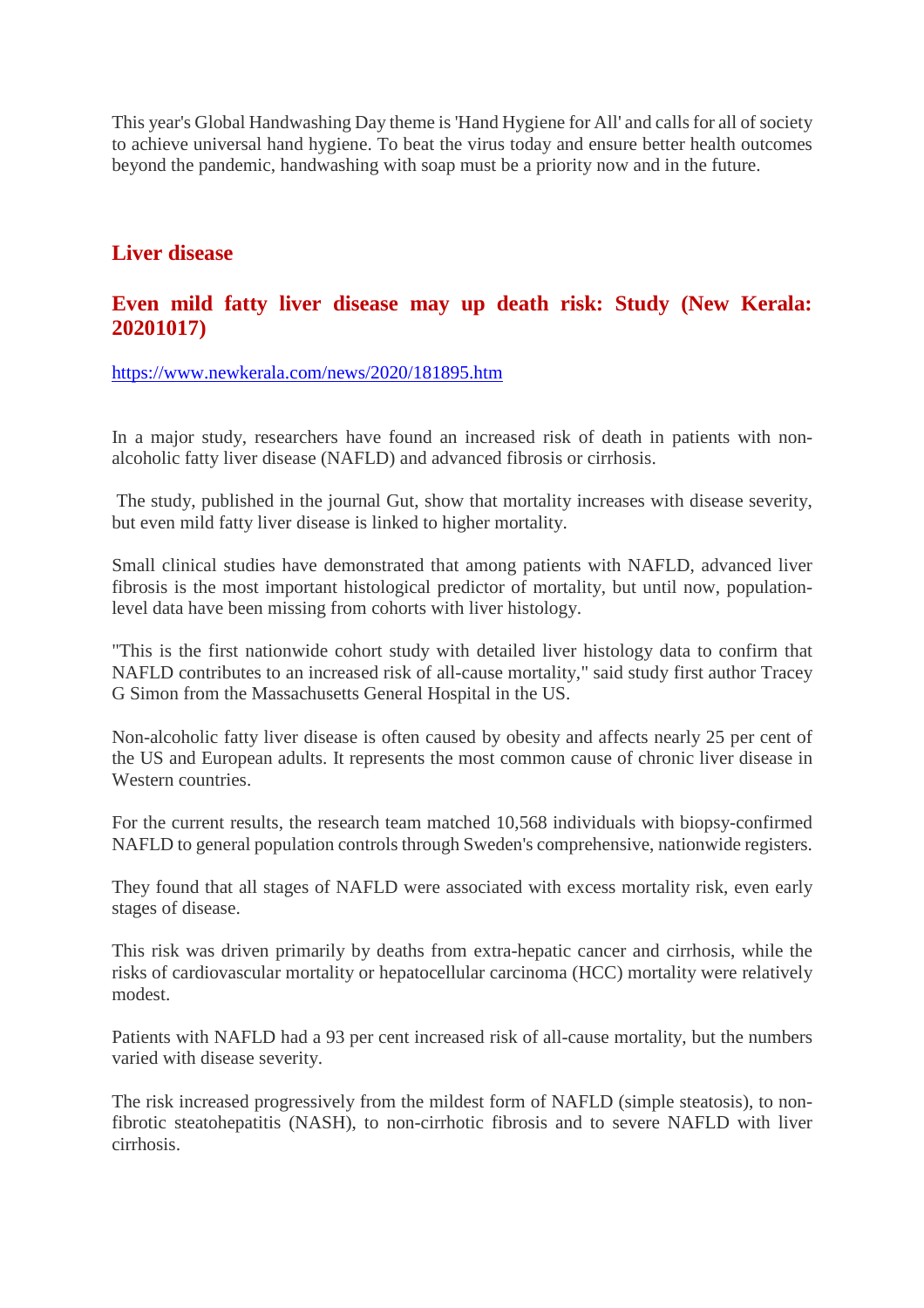This year's Global Handwashing Day theme is 'Hand Hygiene for All' and calls for all of society to achieve universal hand hygiene. To beat the virus today and ensure better health outcomes beyond the pandemic, handwashing with soap must be a priority now and in the future.

## **Liver disease**

# **Even mild fatty liver disease may up death risk: Study (New Kerala: 20201017)**

https://www.newkerala.com/news/2020/181895.htm

In a major study, researchers have found an increased risk of death in patients with nonalcoholic fatty liver disease (NAFLD) and advanced fibrosis or cirrhosis.

The study, published in the journal Gut, show that mortality increases with disease severity, but even mild fatty liver disease is linked to higher mortality.

Small clinical studies have demonstrated that among patients with NAFLD, advanced liver fibrosis is the most important histological predictor of mortality, but until now, populationlevel data have been missing from cohorts with liver histology.

"This is the first nationwide cohort study with detailed liver histology data to confirm that NAFLD contributes to an increased risk of all-cause mortality," said study first author Tracey G Simon from the Massachusetts General Hospital in the US.

Non-alcoholic fatty liver disease is often caused by obesity and affects nearly 25 per cent of the US and European adults. It represents the most common cause of chronic liver disease in Western countries.

For the current results, the research team matched 10,568 individuals with biopsy-confirmed NAFLD to general population controls through Sweden's comprehensive, nationwide registers.

They found that all stages of NAFLD were associated with excess mortality risk, even early stages of disease.

This risk was driven primarily by deaths from extra-hepatic cancer and cirrhosis, while the risks of cardiovascular mortality or hepatocellular carcinoma (HCC) mortality were relatively modest.

Patients with NAFLD had a 93 per cent increased risk of all-cause mortality, but the numbers varied with disease severity.

The risk increased progressively from the mildest form of NAFLD (simple steatosis), to nonfibrotic steatohepatitis (NASH), to non-cirrhotic fibrosis and to severe NAFLD with liver cirrhosis.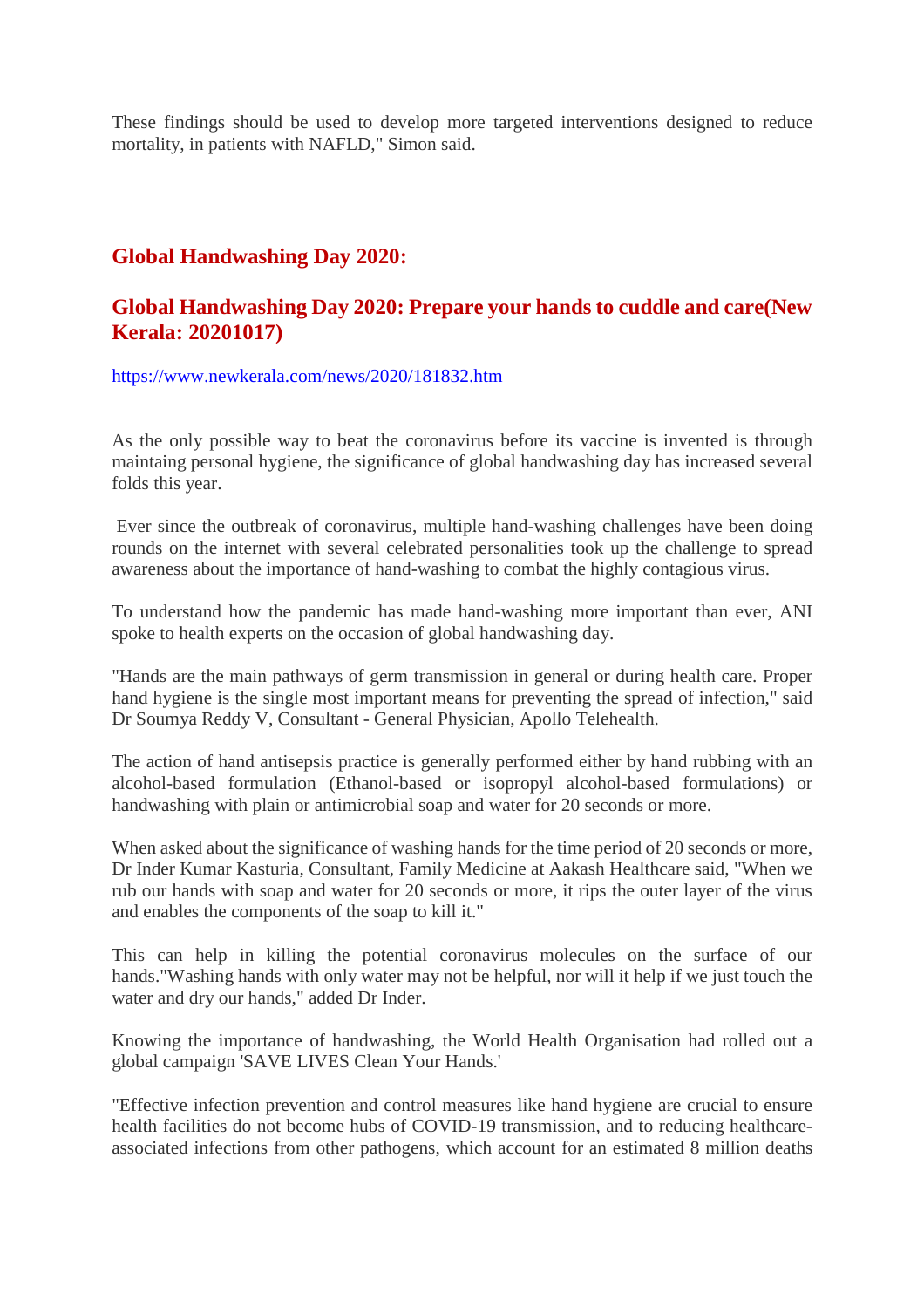These findings should be used to develop more targeted interventions designed to reduce mortality, in patients with NAFLD," Simon said.

# **Global Handwashing Day 2020:**

# **Global Handwashing Day 2020: Prepare your hands to cuddle and care(New Kerala: 20201017)**

https://www.newkerala.com/news/2020/181832.htm

As the only possible way to beat the coronavirus before its vaccine is invented is through maintaing personal hygiene, the significance of global handwashing day has increased several folds this year.

Ever since the outbreak of coronavirus, multiple hand-washing challenges have been doing rounds on the internet with several celebrated personalities took up the challenge to spread awareness about the importance of hand-washing to combat the highly contagious virus.

To understand how the pandemic has made hand-washing more important than ever, ANI spoke to health experts on the occasion of global handwashing day.

"Hands are the main pathways of germ transmission in general or during health care. Proper hand hygiene is the single most important means for preventing the spread of infection," said Dr Soumya Reddy V, Consultant - General Physician, Apollo Telehealth.

The action of hand antisepsis practice is generally performed either by hand rubbing with an alcohol-based formulation (Ethanol-based or isopropyl alcohol-based formulations) or handwashing with plain or antimicrobial soap and water for 20 seconds or more.

When asked about the significance of washing hands for the time period of 20 seconds or more, Dr Inder Kumar Kasturia, Consultant, Family Medicine at Aakash Healthcare said, "When we rub our hands with soap and water for 20 seconds or more, it rips the outer layer of the virus and enables the components of the soap to kill it."

This can help in killing the potential coronavirus molecules on the surface of our hands."Washing hands with only water may not be helpful, nor will it help if we just touch the water and dry our hands," added Dr Inder.

Knowing the importance of handwashing, the World Health Organisation had rolled out a global campaign 'SAVE LIVES Clean Your Hands.'

"Effective infection prevention and control measures like hand hygiene are crucial to ensure health facilities do not become hubs of COVID-19 transmission, and to reducing healthcareassociated infections from other pathogens, which account for an estimated 8 million deaths